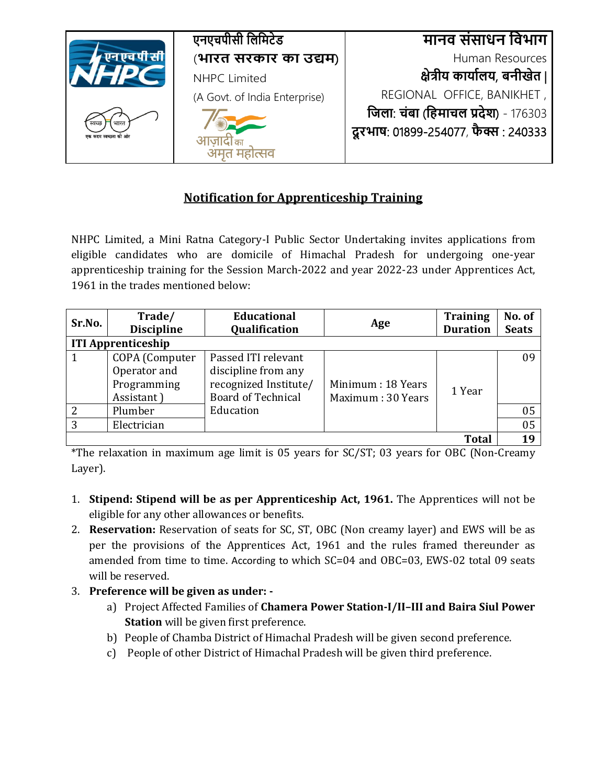

## **Notification for Apprenticeship Training**

NHPC Limited, a Mini Ratna Category-I Public Sector Undertaking invites applications from eligible candidates who are domicile of Himachal Pradesh for undergoing one-year apprenticeship training for the Session March-2022 and year 2022-23 under Apprentices Act, 1961 in the trades mentioned below:

| Sr.No.                    | Trade/<br><b>Discipline</b> | <b>Educational</b><br><b>Qualification</b> | Age                | <b>Training</b><br><b>Duration</b> | No. of<br><b>Seats</b> |
|---------------------------|-----------------------------|--------------------------------------------|--------------------|------------------------------------|------------------------|
| <b>ITI Apprenticeship</b> |                             |                                            |                    |                                    |                        |
|                           | COPA (Computer              | Passed ITI relevant                        |                    |                                    | 09                     |
|                           | Operator and                | discipline from any                        |                    |                                    |                        |
|                           | Programming                 | recognized Institute/                      | Minimum : 18 Years | 1 Year                             |                        |
|                           | Assistant)                  | <b>Board of Technical</b>                  | Maximum: 30 Years  |                                    |                        |
| 2                         | Plumber                     | Education                                  |                    |                                    | 05                     |
| 3                         | Electrician                 |                                            |                    |                                    | 05                     |
|                           |                             |                                            |                    | <b>Total</b>                       | 19                     |

\*The relaxation in maximum age limit is 05 years for SC/ST; 03 years for OBC (Non-Creamy Layer).

- 1. **Stipend: Stipend will be as per Apprenticeship Act, 1961.** The Apprentices will not be eligible for any other allowances or benefits.
- 2. **Reservation:** Reservation of seats for SC, ST, OBC (Non creamy layer) and EWS will be as per the provisions of the Apprentices Act, 1961 and the rules framed thereunder as amended from time to time. According to which SC=04 and OBC=03, EWS-02 total 09 seats will be reserved.
- 3. **Preference will be given as under:** 
	- a) Project Affected Families of **Chamera Power Station-I/II–III and Baira Siul Power Station** will be given first preference.
	- b) People of Chamba District of Himachal Pradesh will be given second preference.
	- c) People of other District of Himachal Pradesh will be given third preference.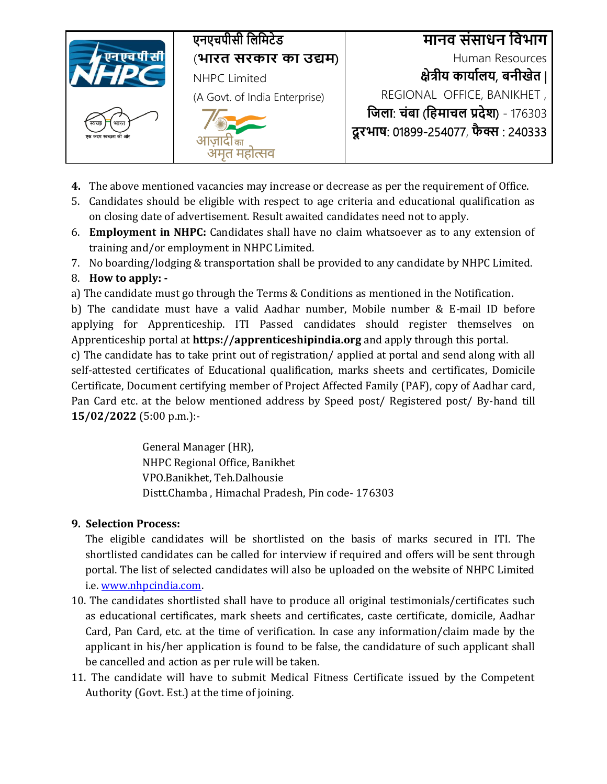

- **4.** The above mentioned vacancies may increase or decrease as per the requirement of Office.
- 5. Candidates should be eligible with respect to age criteria and educational qualification as on closing date of advertisement. Result awaited candidates need not to apply.
- 6. **Employment in NHPC:** Candidates shall have no claim whatsoever as to any extension of training and/or employment in NHPC Limited.
- 7. No boarding/lodging & transportation shall be provided to any candidate by NHPC Limited.

## 8. **How to apply: -**

a) The candidate must go through the Terms & Conditions as mentioned in the Notification.

b) The candidate must have a valid Aadhar number, Mobile number & E-mail ID before applying for Apprenticeship. ITI Passed candidates should register themselves on Apprenticeship portal at **https://apprenticeshipindia.org** and apply through this portal.

c) The candidate has to take print out of registration/ applied at portal and send along with all self-attested certificates of Educational qualification, marks sheets and certificates, Domicile Certificate, Document certifying member of Project Affected Family (PAF), copy of Aadhar card, Pan Card etc. at the below mentioned address by Speed post/ Registered post/ By-hand till **15/02/2022** (5:00 p.m.):-

> General Manager (HR), NHPC Regional Office, Banikhet VPO.Banikhet, Teh.Dalhousie Distt.Chamba , Himachal Pradesh, Pin code- 176303

## **9. Selection Process:**

The eligible candidates will be shortlisted on the basis of marks secured in ITI. The shortlisted candidates can be called for interview if required and offers will be sent through portal. The list of selected candidates will also be uploaded on the website of NHPC Limited i.e. [www.nhpcindia.com.](http://www.nhpcindia.com/) 

- 10. The candidates shortlisted shall have to produce all original testimonials/certificates such as educational certificates, mark sheets and certificates, caste certificate, domicile, Aadhar Card, Pan Card, etc. at the time of verification. In case any information/claim made by the applicant in his/her application is found to be false, the candidature of such applicant shall be cancelled and action as per rule will be taken.
- 11. The candidate will have to submit Medical Fitness Certificate issued by the Competent Authority (Govt. Est.) at the time of joining.